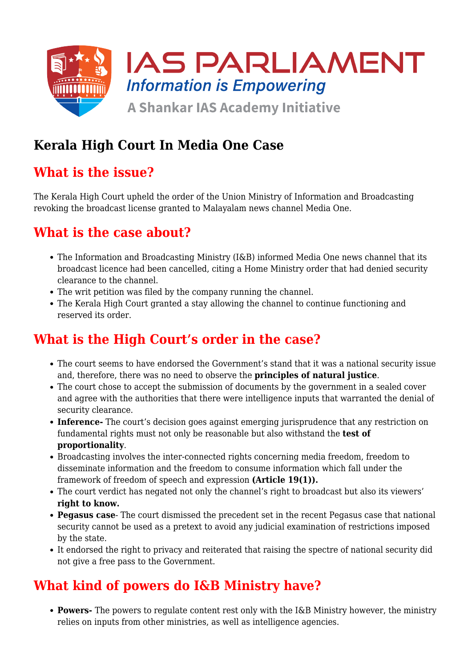

## **Kerala High Court In Media One Case**

### **What is the issue?**

The Kerala High Court upheld the order of the Union Ministry of Information and Broadcasting revoking the broadcast license granted to Malayalam news channel Media One.

#### **What is the case about?**

- The Information and Broadcasting Ministry (I&B) informed Media One news channel that its broadcast licence had been cancelled, citing a Home Ministry order that had denied security clearance to the channel.
- The writ petition was filed by the company running the channel.
- The Kerala High Court granted a stay allowing the channel to continue functioning and reserved its order.

## **What is the High Court's order in the case?**

- The court seems to have endorsed the Government's stand that it was a national security issue and, therefore, there was no need to observe the **principles of natural justice**.
- The court chose to accept the submission of documents by the government in a sealed cover and agree with the authorities that there were intelligence inputs that warranted the denial of security clearance.
- **Inference-** The court's decision goes against emerging jurisprudence that any restriction on fundamental rights must not only be reasonable but also withstand the **test of proportionality**.
- Broadcasting involves the inter-connected rights concerning media freedom, freedom to disseminate information and the freedom to consume information which fall under the framework of freedom of speech and expression **(Article 19(1)).**
- The court verdict has negated not only the channel's right to broadcast but also its viewers' **right to know.**
- **Pegasus case** The court dismissed the precedent set in the recent Pegasus case that national security cannot be used as a pretext to avoid any judicial examination of restrictions imposed by the state.
- It endorsed the right to privacy and reiterated that raising the spectre of national security did not give a free pass to the Government.

# **What kind of powers do I&B Ministry have?**

**Powers-** The powers to regulate content rest only with the I&B Ministry however, the ministry relies on inputs from other ministries, as well as intelligence agencies.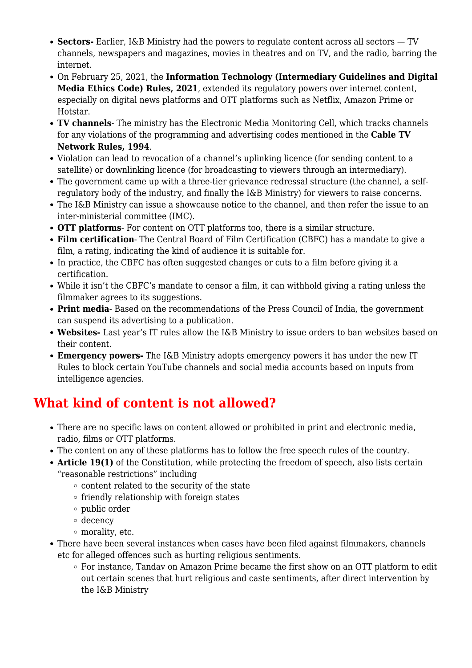- **Sectors-** Earlier, I&B Ministry had the powers to regulate content across all sectors TV channels, newspapers and magazines, movies in theatres and on TV, and the radio, barring the internet.
- On February 25, 2021, the **Information Technology (Intermediary Guidelines and Digital Media Ethics Code) Rules, 2021**, extended its regulatory powers over internet content, especially on digital news platforms and OTT platforms such as Netflix, Amazon Prime or Hotstar.
- **TV channels** The ministry has the Electronic Media Monitoring Cell, which tracks channels for any violations of the programming and advertising codes mentioned in the **Cable TV Network Rules, 1994**.
- Violation can lead to revocation of a channel's uplinking licence (for sending content to a satellite) or downlinking licence (for broadcasting to viewers through an intermediary).
- The government came up with a three-tier grievance redressal structure (the channel, a selfregulatory body of the industry, and finally the I&B Ministry) for viewers to raise concerns.
- The I&B Ministry can issue a showcause notice to the channel, and then refer the issue to an inter-ministerial committee (IMC).
- **OTT platforms** For content on OTT platforms too, there is a similar structure.
- **Film certification** The Central Board of Film Certification (CBFC) has a mandate to give a film, a rating, indicating the kind of audience it is suitable for.
- In practice, the CBFC has often suggested changes or cuts to a film before giving it a certification.
- While it isn't the CBFC's mandate to censor a film, it can withhold giving a rating unless the filmmaker agrees to its suggestions.
- **Print media** Based on the recommendations of the Press Council of India, the government can suspend its advertising to a publication.
- **Websites-** Last year's IT rules allow the I&B Ministry to issue orders to ban websites based on their content.
- **Emergency powers-** The I&B Ministry adopts emergency powers it has under the new IT Rules to block certain YouTube channels and social media accounts based on inputs from intelligence agencies.

# **What kind of content is not allowed?**

- There are no specific laws on content allowed or prohibited in print and electronic media, radio, films or OTT platforms.
- The content on any of these platforms has to follow the free speech rules of the country.
- **Article 19(1)** of the Constitution, while protecting the freedom of speech, also lists certain "reasonable restrictions" including
	- $\circ$  content related to the security of the state
	- $\circ$  friendly relationship with foreign states
	- $\circ$  public order
	- decency
	- morality, etc.
- There have been several instances when cases have been filed against filmmakers, channels etc for alleged offences such as hurting religious sentiments.
	- $\circ$  For instance, Tandav on Amazon Prime became the first show on an OTT platform to edit out certain scenes that hurt religious and caste sentiments, after direct intervention by the I&B Ministry